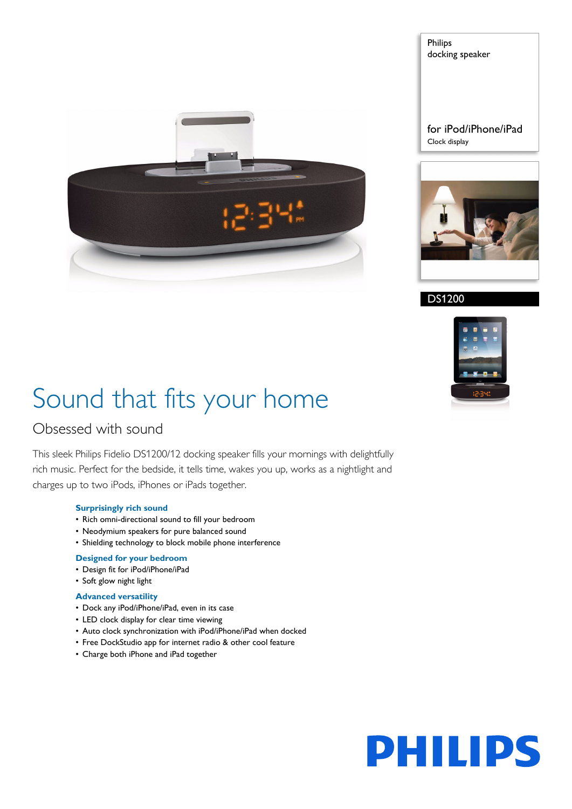

Philips docking speaker

for iPod/iPhone/iPad Clock display



### DS1200



# Sound that fits your home

### Obsessed with sound

This sleek Philips Fidelio DS1200/12 docking speaker fills your mornings with delightfully rich music. Perfect for the bedside, it tells time, wakes you up, works as a nightlight and charges up to two iPods, iPhones or iPads together.

#### **Surprisingly rich sound**

- Rich omni-directional sound to fill your bedroom
- Neodymium speakers for pure balanced sound
- Shielding technology to block mobile phone interference

#### **Designed for your bedroom**

- Design fit for iPod/iPhone/iPad
- Soft glow night light

#### **Advanced versatility**

- Dock any iPod/iPhone/iPad, even in its case
- LED clock display for clear time viewing
- Auto clock synchronization with iPod/iPhone/iPad when docked
- Free DockStudio app for internet radio & other cool feature
- Charge both iPhone and iPad together